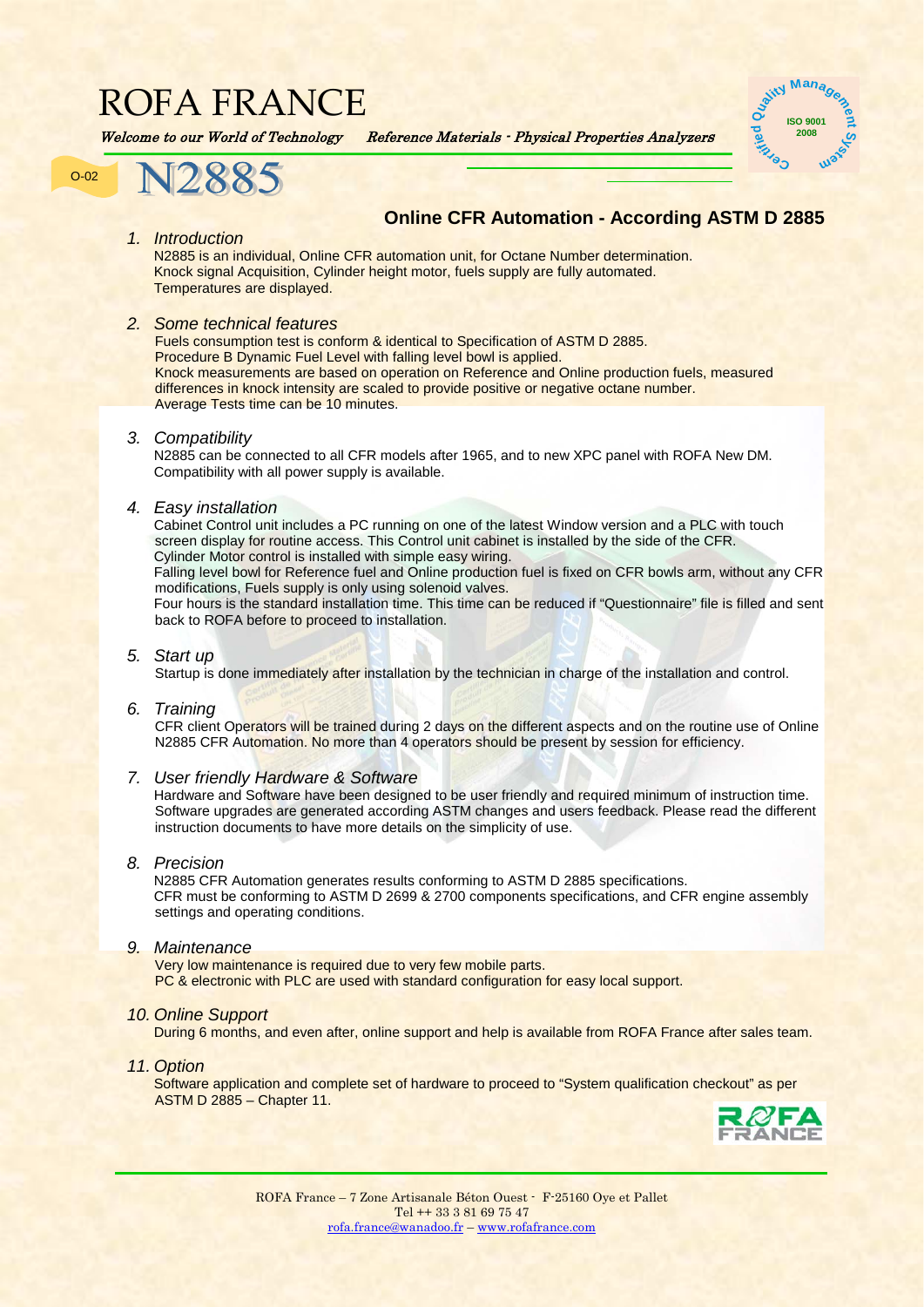## ROFA FRANCE

Welcome to our World of Technology Reference Materials - Physical Properties Analyzers





### **Online CFR Automation - According ASTM D 2885**

*1. Introduction*

N2885 is an individual, Online CFR automation unit, for Octane Number determination. Knock signal Acquisition, Cylinder height motor, fuels supply are fully automated. Temperatures are displayed.

#### *2. Some technical features*

Fuels consumption test is conform & identical to Specification of ASTM D 2885. Procedure B Dynamic Fuel Level with falling level bowl is applied. Knock measurements are based on operation on Reference and Online production fuels, measured differences in knock intensity are scaled to provide positive or negative octane number. Average Tests time can be 10 minutes.

#### *3. Compatibility*

N2885 can be connected to all CFR models after 1965, and to new XPC panel with ROFA New DM. Compatibility with all power supply is available.

#### *4. Easy installation*

Cabinet Control unit includes a PC running on one of the latest Window version and a PLC with touch screen display for routine access. This Control unit cabinet is installed by the side of the CFR. Cylinder Motor control is installed with simple easy wiring.

Falling level bowl for Reference fuel and Online production fuel is fixed on CFR bowls arm, without any CFR modifications, Fuels supply is only using solenoid valves.

Four hours is the standard installation time. This time can be reduced if "Questionnaire" file is filled and sent back to ROFA before to proceed to installation.

#### *5. Start up*

Startup is done immediately after installation by the technician in charge of the installation and control.

#### *6. Training*

CFR client Operators will be trained during 2 days on the different aspects and on the routine use of Online N2885 CFR Automation. No more than 4 operators should be present by session for efficiency.

#### *7. User friendly Hardware & Software*

Hardware and Software have been designed to be user friendly and required minimum of instruction time. Software upgrades are generated according ASTM changes and users feedback. Please read the different instruction documents to have more details on the simplicity of use.

#### *8. Precision*

N2885 CFR Automation generates results conforming to ASTM D 2885 specifications. CFR must be conforming to ASTM D 2699 & 2700 components specifications, and CFR engine assembly settings and operating conditions.

#### *9. Maintenance*

Very low maintenance is required due to very few mobile parts. PC & electronic with PLC are used with standard configuration for easy local support.

#### *10. Online Support*

During 6 months, and even after, online support and help is available from ROFA France after sales team.

#### *11. Option*

Software application and complete set of hardware to proceed to "System qualification checkout" as per ASTM D 2885 – Chapter 11.